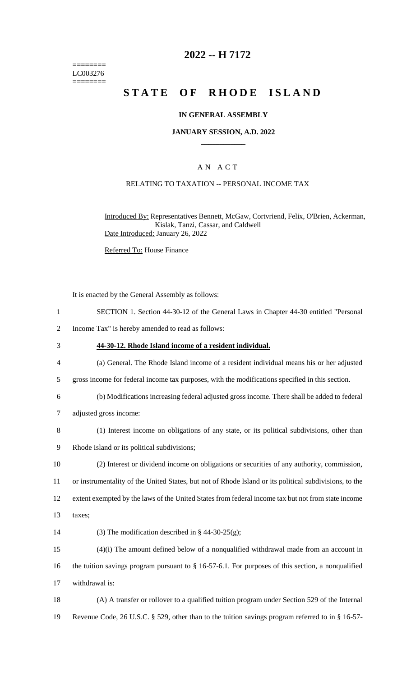======== LC003276 ========

## **2022 -- H 7172**

# **STATE OF RHODE ISLAND**

### **IN GENERAL ASSEMBLY**

### **JANUARY SESSION, A.D. 2022 \_\_\_\_\_\_\_\_\_\_\_\_**

### A N A C T

#### RELATING TO TAXATION -- PERSONAL INCOME TAX

Introduced By: Representatives Bennett, McGaw, Cortvriend, Felix, O'Brien, Ackerman, Kislak, Tanzi, Cassar, and Caldwell Date Introduced: January 26, 2022

Referred To: House Finance

It is enacted by the General Assembly as follows:

- 1 SECTION 1. Section 44-30-12 of the General Laws in Chapter 44-30 entitled "Personal
- 2 Income Tax" is hereby amended to read as follows:
- 3 **44-30-12. Rhode Island income of a resident individual.**
- 4 (a) General. The Rhode Island income of a resident individual means his or her adjusted
- 5 gross income for federal income tax purposes, with the modifications specified in this section.
- 6 (b) Modifications increasing federal adjusted gross income. There shall be added to federal
- 7 adjusted gross income:
- 8 (1) Interest income on obligations of any state, or its political subdivisions, other than
- 9 Rhode Island or its political subdivisions;
- 10 (2) Interest or dividend income on obligations or securities of any authority, commission,

11 or instrumentality of the United States, but not of Rhode Island or its political subdivisions, to the

12 extent exempted by the laws of the United States from federal income tax but not from state income

- 13 taxes;
- 14 (3) The modification described in  $\S$  44-30-25(g);

15 (4)(i) The amount defined below of a nonqualified withdrawal made from an account in 16 the tuition savings program pursuant to § 16-57-6.1. For purposes of this section, a nonqualified 17 withdrawal is:

18 (A) A transfer or rollover to a qualified tuition program under Section 529 of the Internal 19 Revenue Code, 26 U.S.C. § 529, other than to the tuition savings program referred to in § 16-57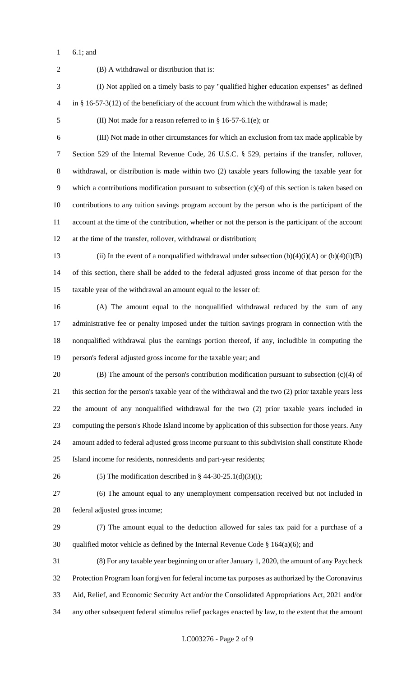6.1; and

 (B) A withdrawal or distribution that is: (I) Not applied on a timely basis to pay "qualified higher education expenses" as defined in § 16-57-3(12) of the beneficiary of the account from which the withdrawal is made; (II) Not made for a reason referred to in § 16-57-6.1(e); or (III) Not made in other circumstances for which an exclusion from tax made applicable by Section 529 of the Internal Revenue Code, 26 U.S.C. § 529, pertains if the transfer, rollover, withdrawal, or distribution is made within two (2) taxable years following the taxable year for which a contributions modification pursuant to subsection (c)(4) of this section is taken based on contributions to any tuition savings program account by the person who is the participant of the account at the time of the contribution, whether or not the person is the participant of the account at the time of the transfer, rollover, withdrawal or distribution; 13 (ii) In the event of a nonqualified withdrawal under subsection  $(b)(4)(i)(A)$  or  $(b)(4)(i)(B)$  of this section, there shall be added to the federal adjusted gross income of that person for the taxable year of the withdrawal an amount equal to the lesser of: (A) The amount equal to the nonqualified withdrawal reduced by the sum of any administrative fee or penalty imposed under the tuition savings program in connection with the nonqualified withdrawal plus the earnings portion thereof, if any, includible in computing the person's federal adjusted gross income for the taxable year; and (B) The amount of the person's contribution modification pursuant to subsection (c)(4) of this section for the person's taxable year of the withdrawal and the two (2) prior taxable years less the amount of any nonqualified withdrawal for the two (2) prior taxable years included in computing the person's Rhode Island income by application of this subsection for those years. Any amount added to federal adjusted gross income pursuant to this subdivision shall constitute Rhode Island income for residents, nonresidents and part-year residents; 26 (5) The modification described in § 44-30-25.1(d)(3)(i); (6) The amount equal to any unemployment compensation received but not included in federal adjusted gross income; (7) The amount equal to the deduction allowed for sales tax paid for a purchase of a 30 qualified motor vehicle as defined by the Internal Revenue Code  $\S$  164(a)(6); and (8) For any taxable year beginning on or after January 1, 2020, the amount of any Paycheck Protection Program loan forgiven for federal income tax purposes as authorized by the Coronavirus Aid, Relief, and Economic Security Act and/or the Consolidated Appropriations Act, 2021 and/or any other subsequent federal stimulus relief packages enacted by law, to the extent that the amount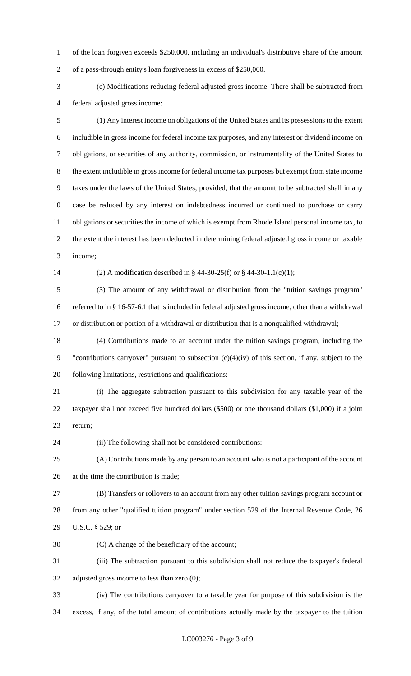of the loan forgiven exceeds \$250,000, including an individual's distributive share of the amount of a pass-through entity's loan forgiveness in excess of \$250,000.

 (c) Modifications reducing federal adjusted gross income. There shall be subtracted from federal adjusted gross income:

 (1) Any interest income on obligations of the United States and its possessions to the extent includible in gross income for federal income tax purposes, and any interest or dividend income on obligations, or securities of any authority, commission, or instrumentality of the United States to the extent includible in gross income for federal income tax purposes but exempt from state income taxes under the laws of the United States; provided, that the amount to be subtracted shall in any case be reduced by any interest on indebtedness incurred or continued to purchase or carry obligations or securities the income of which is exempt from Rhode Island personal income tax, to the extent the interest has been deducted in determining federal adjusted gross income or taxable income;

(2) A modification described in § 44-30-25(f) or § 44-30-1.1(c)(1);

 (3) The amount of any withdrawal or distribution from the "tuition savings program" referred to in § 16-57-6.1 that is included in federal adjusted gross income, other than a withdrawal or distribution or portion of a withdrawal or distribution that is a nonqualified withdrawal;

 (4) Contributions made to an account under the tuition savings program, including the "contributions carryover" pursuant to subsection (c)(4)(iv) of this section, if any, subject to the following limitations, restrictions and qualifications:

 (i) The aggregate subtraction pursuant to this subdivision for any taxable year of the taxpayer shall not exceed five hundred dollars (\$500) or one thousand dollars (\$1,000) if a joint return;

(ii) The following shall not be considered contributions:

 (A) Contributions made by any person to an account who is not a participant of the account at the time the contribution is made;

 (B) Transfers or rollovers to an account from any other tuition savings program account or from any other "qualified tuition program" under section 529 of the Internal Revenue Code, 26 U.S.C. § 529; or

(C) A change of the beneficiary of the account;

 (iii) The subtraction pursuant to this subdivision shall not reduce the taxpayer's federal adjusted gross income to less than zero (0);

 (iv) The contributions carryover to a taxable year for purpose of this subdivision is the excess, if any, of the total amount of contributions actually made by the taxpayer to the tuition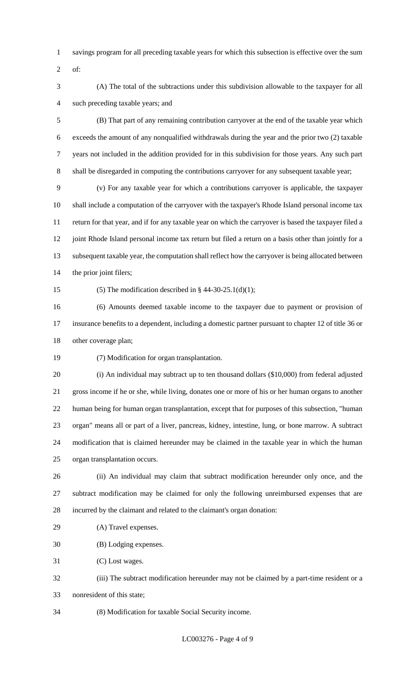- savings program for all preceding taxable years for which this subsection is effective over the sum
- of:
- (A) The total of the subtractions under this subdivision allowable to the taxpayer for all such preceding taxable years; and
- (B) That part of any remaining contribution carryover at the end of the taxable year which exceeds the amount of any nonqualified withdrawals during the year and the prior two (2) taxable years not included in the addition provided for in this subdivision for those years. Any such part shall be disregarded in computing the contributions carryover for any subsequent taxable year;
- (v) For any taxable year for which a contributions carryover is applicable, the taxpayer shall include a computation of the carryover with the taxpayer's Rhode Island personal income tax return for that year, and if for any taxable year on which the carryover is based the taxpayer filed a 12 joint Rhode Island personal income tax return but filed a return on a basis other than jointly for a subsequent taxable year, the computation shall reflect how the carryover is being allocated between 14 the prior joint filers;
- 

15 (5) The modification described in  $\S$  44-30-25.1(d)(1);

 (6) Amounts deemed taxable income to the taxpayer due to payment or provision of insurance benefits to a dependent, including a domestic partner pursuant to chapter 12 of title 36 or other coverage plan;

- (7) Modification for organ transplantation.
- (i) An individual may subtract up to ten thousand dollars (\$10,000) from federal adjusted gross income if he or she, while living, donates one or more of his or her human organs to another human being for human organ transplantation, except that for purposes of this subsection, "human organ" means all or part of a liver, pancreas, kidney, intestine, lung, or bone marrow. A subtract modification that is claimed hereunder may be claimed in the taxable year in which the human organ transplantation occurs.
- (ii) An individual may claim that subtract modification hereunder only once, and the subtract modification may be claimed for only the following unreimbursed expenses that are incurred by the claimant and related to the claimant's organ donation:
- (A) Travel expenses.
- (B) Lodging expenses.

(C) Lost wages.

- (iii) The subtract modification hereunder may not be claimed by a part-time resident or a nonresident of this state;
- (8) Modification for taxable Social Security income.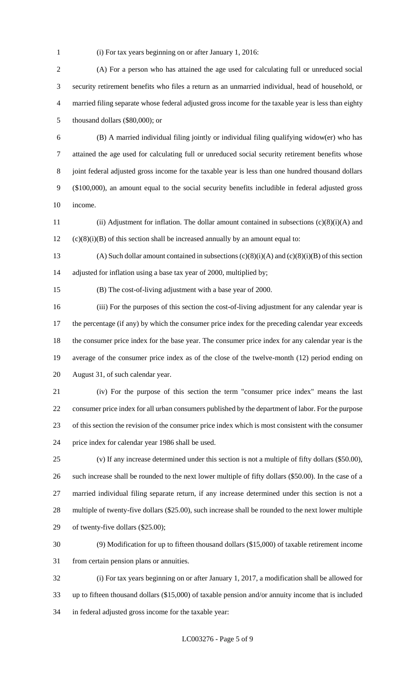(i) For tax years beginning on or after January 1, 2016:

 (A) For a person who has attained the age used for calculating full or unreduced social security retirement benefits who files a return as an unmarried individual, head of household, or married filing separate whose federal adjusted gross income for the taxable year is less than eighty thousand dollars (\$80,000); or

 (B) A married individual filing jointly or individual filing qualifying widow(er) who has attained the age used for calculating full or unreduced social security retirement benefits whose joint federal adjusted gross income for the taxable year is less than one hundred thousand dollars (\$100,000), an amount equal to the social security benefits includible in federal adjusted gross income.

 (ii) Adjustment for inflation. The dollar amount contained in subsections (c)(8)(i)(A) and (c)(8)(i)(B) of this section shall be increased annually by an amount equal to:

13 (A) Such dollar amount contained in subsections  $(c)(8)(i)(A)$  and  $(c)(8)(i)(B)$  of this section adjusted for inflation using a base tax year of 2000, multiplied by;

(B) The cost-of-living adjustment with a base year of 2000.

 (iii) For the purposes of this section the cost-of-living adjustment for any calendar year is 17 the percentage (if any) by which the consumer price index for the preceding calendar year exceeds the consumer price index for the base year. The consumer price index for any calendar year is the average of the consumer price index as of the close of the twelve-month (12) period ending on August 31, of such calendar year.

 (iv) For the purpose of this section the term "consumer price index" means the last consumer price index for all urban consumers published by the department of labor. For the purpose of this section the revision of the consumer price index which is most consistent with the consumer price index for calendar year 1986 shall be used.

 (v) If any increase determined under this section is not a multiple of fifty dollars (\$50.00), such increase shall be rounded to the next lower multiple of fifty dollars (\$50.00). In the case of a married individual filing separate return, if any increase determined under this section is not a multiple of twenty-five dollars (\$25.00), such increase shall be rounded to the next lower multiple of twenty-five dollars (\$25.00);

 (9) Modification for up to fifteen thousand dollars (\$15,000) of taxable retirement income from certain pension plans or annuities.

 (i) For tax years beginning on or after January 1, 2017, a modification shall be allowed for up to fifteen thousand dollars (\$15,000) of taxable pension and/or annuity income that is included in federal adjusted gross income for the taxable year: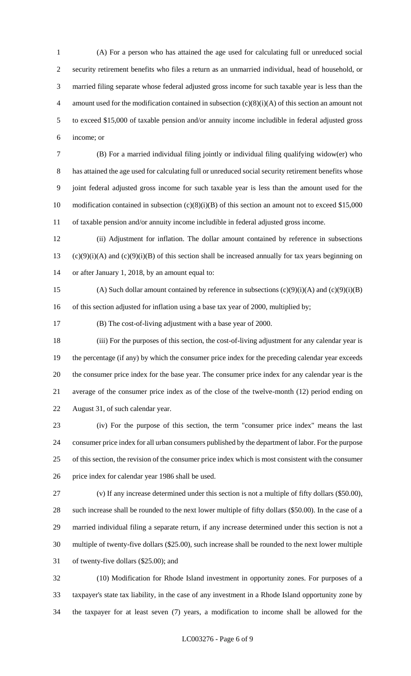(A) For a person who has attained the age used for calculating full or unreduced social security retirement benefits who files a return as an unmarried individual, head of household, or married filing separate whose federal adjusted gross income for such taxable year is less than the 4 amount used for the modification contained in subsection  $(c)(8)(i)(A)$  of this section an amount not to exceed \$15,000 of taxable pension and/or annuity income includible in federal adjusted gross income; or

 (B) For a married individual filing jointly or individual filing qualifying widow(er) who has attained the age used for calculating full or unreduced social security retirement benefits whose joint federal adjusted gross income for such taxable year is less than the amount used for the 10 modification contained in subsection  $(c)(8)(i)(B)$  of this section an amount not to exceed \$15,000 of taxable pension and/or annuity income includible in federal adjusted gross income.

 (ii) Adjustment for inflation. The dollar amount contained by reference in subsections 13 (c)(9)(i)(A) and (c)(9)(i)(B) of this section shall be increased annually for tax years beginning on or after January 1, 2018, by an amount equal to:

15 (A) Such dollar amount contained by reference in subsections  $(c)(9)(i)(A)$  and  $(c)(9)(i)(B)$ 16 of this section adjusted for inflation using a base tax year of 2000, multiplied by;

(B) The cost-of-living adjustment with a base year of 2000.

 (iii) For the purposes of this section, the cost-of-living adjustment for any calendar year is the percentage (if any) by which the consumer price index for the preceding calendar year exceeds the consumer price index for the base year. The consumer price index for any calendar year is the average of the consumer price index as of the close of the twelve-month (12) period ending on August 31, of such calendar year.

 (iv) For the purpose of this section, the term "consumer price index" means the last consumer price index for all urban consumers published by the department of labor. For the purpose of this section, the revision of the consumer price index which is most consistent with the consumer price index for calendar year 1986 shall be used.

 (v) If any increase determined under this section is not a multiple of fifty dollars (\$50.00), such increase shall be rounded to the next lower multiple of fifty dollars (\$50.00). In the case of a married individual filing a separate return, if any increase determined under this section is not a multiple of twenty-five dollars (\$25.00), such increase shall be rounded to the next lower multiple of twenty-five dollars (\$25.00); and

 (10) Modification for Rhode Island investment in opportunity zones. For purposes of a taxpayer's state tax liability, in the case of any investment in a Rhode Island opportunity zone by the taxpayer for at least seven (7) years, a modification to income shall be allowed for the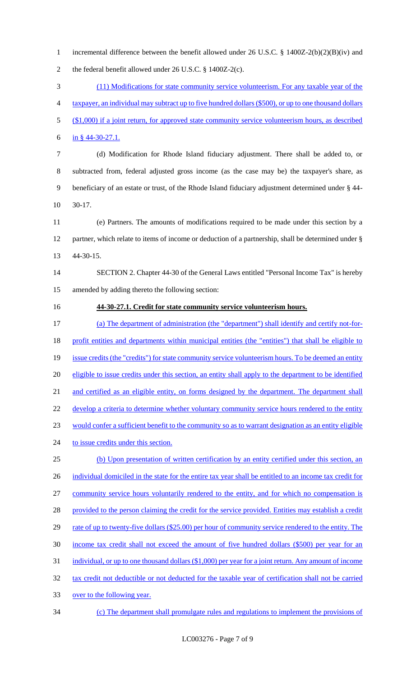incremental difference between the benefit allowed under 26 U.S.C. § 1400Z-2(b)(2)(B)(iv) and the federal benefit allowed under 26 U.S.C. § 1400Z-2(c). (11) Modifications for state community service volunteerism. For any taxable year of the taxpayer, an individual may subtract up to five hundred dollars (\$500), or up to one thousand dollars 5 (\$1,000) if a joint return, for approved state community service volunteerism hours, as described in § 44-30-27.1. (d) Modification for Rhode Island fiduciary adjustment. There shall be added to, or

 subtracted from, federal adjusted gross income (as the case may be) the taxpayer's share, as beneficiary of an estate or trust, of the Rhode Island fiduciary adjustment determined under § 44- 30-17.

 (e) Partners. The amounts of modifications required to be made under this section by a partner, which relate to items of income or deduction of a partnership, shall be determined under § 44-30-15.

 SECTION 2. Chapter 44-30 of the General Laws entitled "Personal Income Tax" is hereby amended by adding thereto the following section:

## **44-30-27.1. Credit for state community service volunteerism hours.**

 (a) The department of administration (the "department") shall identify and certify not-for- profit entities and departments within municipal entities (the "entities") that shall be eligible to 19 issue credits (the "credits") for state community service volunteerism hours. To be deemed an entity 20 eligible to issue credits under this section, an entity shall apply to the department to be identified 21 and certified as an eligible entity, on forms designed by the department. The department shall 22 develop a criteria to determine whether voluntary community service hours rendered to the entity would confer a sufficient benefit to the community so as to warrant designation as an entity eligible 24 to issue credits under this section. (b) Upon presentation of written certification by an entity certified under this section, an 26 individual domiciled in the state for the entire tax year shall be entitled to an income tax credit for community service hours voluntarily rendered to the entity, and for which no compensation is 28 provided to the person claiming the credit for the service provided. Entities may establish a credit 29 rate of up to twenty-five dollars (\$25.00) per hour of community service rendered to the entity. The income tax credit shall not exceed the amount of five hundred dollars (\$500) per year for an individual, or up to one thousand dollars (\$1,000) per year for a joint return. Any amount of income tax credit not deductible or not deducted for the taxable year of certification shall not be carried over to the following year. (c) The department shall promulgate rules and regulations to implement the provisions of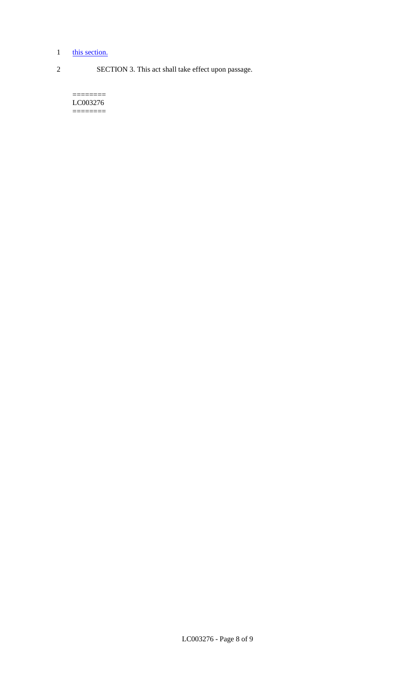## 1 this section.

2 SECTION 3. This act shall take effect upon passage.

======== LC003276 ========